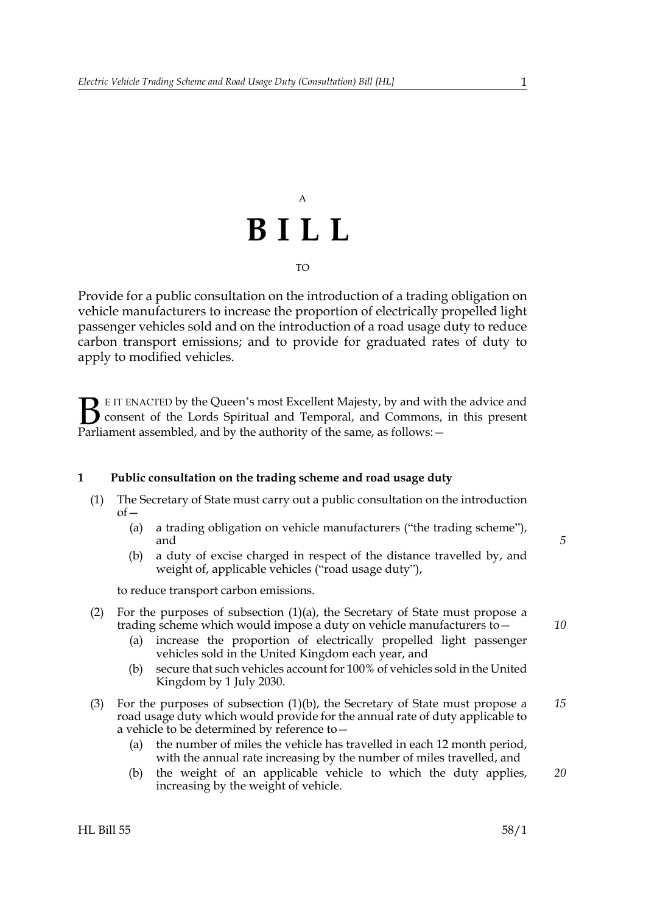# A **BILL** TO

Provide for a public consultation on the introduction of a trading obligation on vehicle manufacturers to increase the proportion of electrically propelled light passenger vehicles sold and on the introduction of a road usage duty to reduce carbon transport emissions; and to provide for graduated rates of duty to apply to modified vehicles.

E IT ENACTED by the Queen's most Excellent Majesty, by and with the advice and consent of the Lords Spiritual and Temporal, and Commons, in this present **B** E IT ENACTED by the Queen's most Excellent Majesty, by and with consent of the Lords Spiritual and Temporal, and Commons, Parliament assembled, and by the authority of the same, as follows:  $-$ 

### **1 Public consultation on the trading scheme and road usage duty**

- <span id="page-0-0"></span>(1) The Secretary of State must carry out a public consultation on the introduction  $of$ 
	- (a) a trading obligation on vehicle manufacturers ("the trading scheme"), and
	- (b) a duty of excise charged in respect of the distance travelled by, and weight of, applicable vehicles ("road usage duty"),

<span id="page-0-1"></span>to reduce transport carbon emissions.

- (2) For the purposes of subsection  $(1)(a)$ , the Secretary of State must propose a trading scheme which would impose a duty on vehicle manufacturers to—
	- (a) increase the proportion of electrically propelled light passenger vehicles sold in the United Kingdom each year, and
	- (b) secure that such vehicles account for 100% of vehicles sold in the United Kingdom by 1 July 2030.
- (3) For the purposes of subsection [\(1\)\(b\),](#page-0-1) the Secretary of State must propose a road usage duty which would provide for the annual rate of duty applicable to a vehicle to be determined by reference to— *15*
	- (a) the number of miles the vehicle has travelled in each 12 month period, with the annual rate increasing by the number of miles travelled, and
	- (b) the weight of an applicable vehicle to which the duty applies, increasing by the weight of vehicle.

*5*

*10*

*20*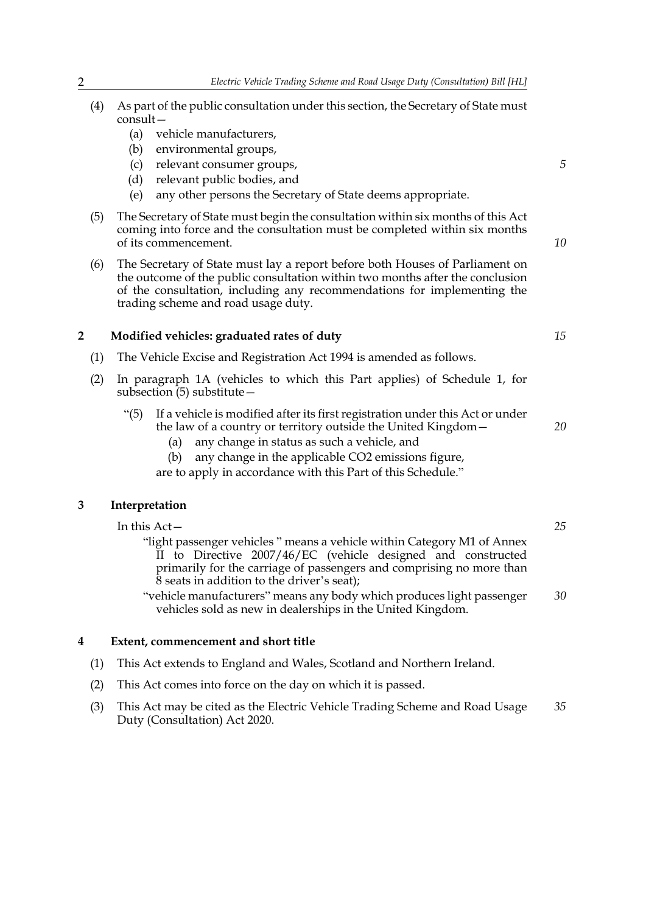- (4) As part of the public consultation under this section, the Secretary of State must consult—
	- (a) vehicle manufacturers,
	- (b) environmental groups,
	- (c) relevant consumer groups,
	- (d) relevant public bodies, and
	- (e) any other persons the Secretary of State deems appropriate.
- (5) The Secretary of State must begin the consultation within six months of this Act coming into force and the consultation must be completed within six months of its commencement.
- (6) The Secretary of State must lay a report before both Houses of Parliament on the outcome of the public consultation within two months after the conclusion of the consultation, including any recommendations for implementing the trading scheme and road usage duty.

#### **2 Modified vehicles: graduated rates of duty**

- (1) The Vehicle Excise and Registration Act 1994 is amended as follows.
- (2) In paragraph 1A (vehicles to which this Part applies) of Schedule 1, for subsection (5) substitute—
	- "(5) If a vehicle is modified after its first registration under this Act or under the law of a country or territory outside the United Kingdom—
		- (a) any change in status as such a vehicle, and
		- (b) any change in the applicable CO2 emissions figure,
		- are to apply in accordance with this Part of this Schedule."

## **3 Interpretation**

In this Act—

- "light passenger vehicles " means a vehicle within Category M1 of Annex II to Directive 2007/46/EC (vehicle designed and constructed primarily for the carriage of passengers and comprising no more than 8 seats in addition to the driver's seat);
- "vehicle manufacturers" means any body which produces light passenger vehicles sold as new in dealerships in the United Kingdom. *30*

### **4 Extent, commencement and short title**

- (1) This Act extends to England and Wales, Scotland and Northern Ireland.
- (2) This Act comes into force on the day on which it is passed.
- (3) This Act may be cited as the Electric Vehicle Trading Scheme and Road Usage Duty (Consultation) Act 2020. *35*

*5*

*10*

*15*

*20*

*25*